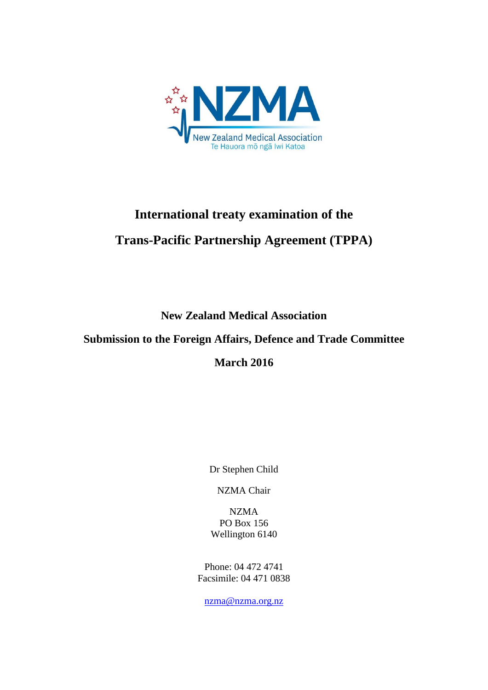

# **International treaty examination of the Trans-Pacific Partnership Agreement (TPPA)**

**New Zealand Medical Association** 

## **Submission to the Foreign Affairs, Defence and Trade Committee**

# **March 2016**

Dr Stephen Child

NZMA Chair

NZMA PO Box 156 Wellington 6140

Phone: 04 472 4741 Facsimile: 04 471 0838

[nzma@nzma.org.nz](mailto:nzma@nzma.org.nz)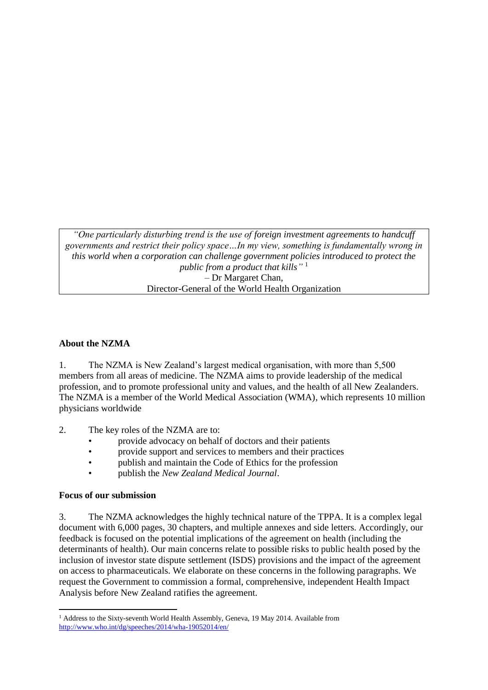*"One particularly disturbing trend is the use of foreign investment agreements to handcuff governments and restrict their policy space…In my view, something is fundamentally wrong in this world when a corporation can challenge government policies introduced to protect the public from a product that kills"* 1 – Dr Margaret Chan, Director-General of the World Health Organization

#### **About the NZMA**

1. The NZMA is New Zealand's largest medical organisation, with more than 5,500 members from all areas of medicine. The NZMA aims to provide leadership of the medical profession, and to promote professional unity and values, and the health of all New Zealanders. The NZMA is a member of the World Medical Association (WMA), which represents 10 million physicians worldwide

- 2. The key roles of the NZMA are to:
	- provide advocacy on behalf of doctors and their patients
	- provide support and services to members and their practices
	- publish and maintain the Code of Ethics for the profession
	- publish the *New Zealand Medical Journal*.

#### **Focus of our submission**

3. The NZMA acknowledges the highly technical nature of the TPPA. It is a complex legal document with 6,000 pages, 30 chapters, and multiple annexes and side letters. Accordingly, our feedback is focused on the potential implications of the agreement on health (including the determinants of health). Our main concerns relate to possible risks to public health posed by the inclusion of investor state dispute settlement (ISDS) provisions and the impact of the agreement on access to pharmaceuticals. We elaborate on these concerns in the following paragraphs. We request the Government to commission a formal, comprehensive, independent Health Impact Analysis before New Zealand ratifies the agreement.

**<sup>.</sup>** <sup>1</sup> Address to the Sixty-seventh World Health Assembly, Geneva, 19 May 2014. Available from <http://www.who.int/dg/speeches/2014/wha-19052014/en/>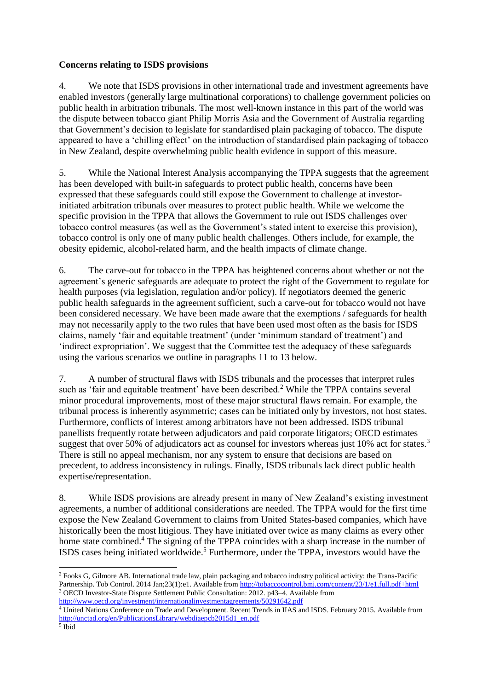#### **Concerns relating to ISDS provisions**

4. We note that ISDS provisions in other international trade and investment agreements have enabled investors (generally large multinational corporations) to challenge government policies on public health in arbitration tribunals. The most well-known instance in this part of the world was the dispute between tobacco giant Philip Morris Asia and the Government of Australia regarding that Government's decision to legislate for standardised plain packaging of tobacco. The dispute appeared to have a 'chilling effect' on the introduction of standardised plain packaging of tobacco in New Zealand, despite overwhelming public health evidence in support of this measure.

5. While the National Interest Analysis accompanying the TPPA suggests that the agreement has been developed with built-in safeguards to protect public health, concerns have been expressed that these safeguards could still expose the Government to challenge at investorinitiated arbitration tribunals over measures to protect public health. While we welcome the specific provision in the TPPA that allows the Government to rule out ISDS challenges over tobacco control measures (as well as the Government's stated intent to exercise this provision), tobacco control is only one of many public health challenges. Others include, for example, the obesity epidemic, alcohol-related harm, and the health impacts of climate change.

6. The carve-out for tobacco in the TPPA has heightened concerns about whether or not the agreement's generic safeguards are adequate to protect the right of the Government to regulate for health purposes (via legislation, regulation and/or policy). If negotiators deemed the generic public health safeguards in the agreement sufficient, such a carve-out for tobacco would not have been considered necessary. We have been made aware that the exemptions / safeguards for health may not necessarily apply to the two rules that have been used most often as the basis for ISDS claims, namely 'fair and equitable treatment' (under 'minimum standard of treatment') and 'indirect expropriation'. We suggest that the Committee test the adequacy of these safeguards using the various scenarios we outline in paragraphs 11 to 13 below.

7. A number of structural flaws with ISDS tribunals and the processes that interpret rules such as 'fair and equitable treatment' have been described.<sup>2</sup> While the TPPA contains several minor procedural improvements, most of these major structural flaws remain. For example, the tribunal process is inherently asymmetric; cases can be initiated only by investors, not host states. Furthermore, conflicts of interest among arbitrators have not been addressed. ISDS tribunal panellists frequently rotate between adjudicators and paid corporate litigators; OECD estimates suggest that over 50% of adjudicators act as counsel for investors whereas just 10% act for states.<sup>3</sup> There is still no appeal mechanism, nor any system to ensure that decisions are based on precedent, to address inconsistency in rulings. Finally, ISDS tribunals lack direct public health expertise/representation.

8. While ISDS provisions are already present in many of New Zealand's existing investment agreements, a number of additional considerations are needed. The TPPA would for the first time expose the New Zealand Government to claims from United States-based companies, which have historically been the most litigious. They have initiated over twice as many claims as every other home state combined.<sup>4</sup> The signing of the TPPA coincides with a sharp increase in the number of ISDS cases being initiated worldwide.<sup>5</sup> Furthermore, under the TPPA, investors would have the

**.** 

<sup>2</sup> Fooks G, Gilmore AB. International trade law, plain packaging and tobacco industry political activity: the Trans-Pacific Partnership. Tob Control. 2014 Jan;23(1):e1. Available from<http://tobaccocontrol.bmj.com/content/23/1/e1.full.pdf+html> <sup>3</sup> OECD Investor-State Dispute Settlement Public Consultation: 2012. p43–4. Available from <http://www.oecd.org/investment/internationalinvestmentagreements/50291642.pdf>

<sup>4</sup> United Nations Conference on Trade and Development. Recent Trends in IIAS and ISDS. February 2015. Available from [http://unctad.org/en/PublicationsLibrary/webdiaepcb2015d1\\_en.pdf](http://unctad.org/en/PublicationsLibrary/webdiaepcb2015d1_en.pdf)

<sup>5</sup> Ibid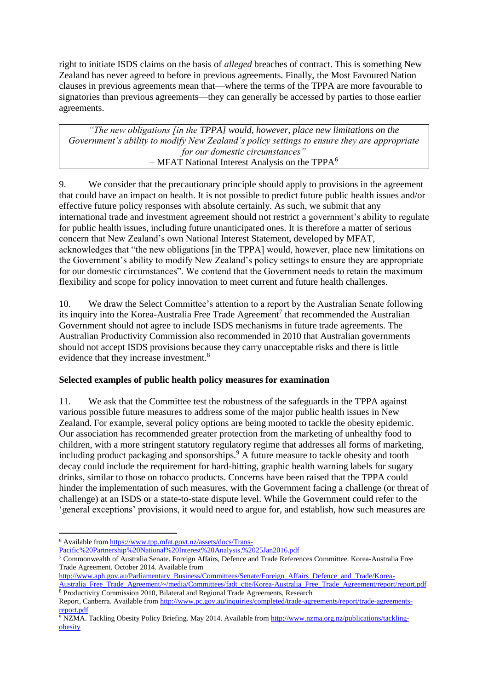right to initiate ISDS claims on the basis of *alleged* breaches of contract. This is something New Zealand has never agreed to before in previous agreements. Finally, the Most Favoured Nation clauses in previous agreements mean that—where the terms of the TPPA are more favourable to signatories than previous agreements—they can generally be accessed by parties to those earlier agreements.

*"The new obligations [in the TPPA] would, however, place new limitations on the Government's ability to modify New Zealand's policy settings to ensure they are appropriate for our domestic circumstances"*  $-$  MFAT National Interest Analysis on the TPPA $^6$ 

9. We consider that the precautionary principle should apply to provisions in the agreement that could have an impact on health. It is not possible to predict future public health issues and/or effective future policy responses with absolute certainly. As such, we submit that any international trade and investment agreement should not restrict a government's ability to regulate for public health issues, including future unanticipated ones. It is therefore a matter of serious concern that New Zealand's own National Interest Statement, developed by MFAT, acknowledges that "the new obligations [in the TPPA] would, however, place new limitations on the Government's ability to modify New Zealand's policy settings to ensure they are appropriate for our domestic circumstances". We contend that the Government needs to retain the maximum flexibility and scope for policy innovation to meet current and future health challenges.

10. We draw the Select Committee's attention to a report by the Australian Senate following its inquiry into the Korea-Australia Free Trade Agreement<sup>7</sup> that recommended the Australian Government should not agree to include ISDS mechanisms in future trade agreements. The Australian Productivity Commission also recommended in 2010 that Australian governments should not accept ISDS provisions because they carry unacceptable risks and there is little evidence that they increase investment.<sup>8</sup>

#### **Selected examples of public health policy measures for examination**

11. We ask that the Committee test the robustness of the safeguards in the TPPA against various possible future measures to address some of the major public health issues in New Zealand. For example, several policy options are being mooted to tackle the obesity epidemic. Our association has recommended greater protection from the marketing of unhealthy food to children, with a more stringent statutory regulatory regime that addresses all forms of marketing, including product packaging and sponsorships.<sup>9</sup> A future measure to tackle obesity and tooth decay could include the requirement for hard-hitting, graphic health warning labels for sugary drinks, similar to those on tobacco products. Concerns have been raised that the TPPA could hinder the implementation of such measures, with the Government facing a challenge (or threat of challenge) at an ISDS or a state-to-state dispute level. While the Government could refer to the 'general exceptions' provisions, it would need to argue for, and establish, how such measures are

 $\overline{a}$ 

<sup>&</sup>lt;sup>6</sup> Available fro[m https://www.tpp.mfat.govt.nz/assets/docs/Trans-](https://www.tpp.mfat.govt.nz/assets/docs/Trans-Pacific%20Partnership%20National%20Interest%20Analysis,%2025Jan2016.pdf)

[Pacific%20Partnership%20National%20Interest%20Analysis,%2025Jan2016.pdf](https://www.tpp.mfat.govt.nz/assets/docs/Trans-Pacific%20Partnership%20National%20Interest%20Analysis,%2025Jan2016.pdf)

<sup>7</sup> Commonwealth of Australia Senate. Foreign Affairs, Defence and Trade References Committee. Korea-Australia Free Trade Agreement. October 2014. Available from

[http://www.aph.gov.au/Parliamentary\\_Business/Committees/Senate/Foreign\\_Affairs\\_Defence\\_and\\_Trade/Korea-](http://www.aph.gov.au/Parliamentary_Business/Committees/Senate/Foreign_Affairs_Defence_and_Trade/Korea-Australia_Free_Trade_Agreement/~/media/Committees/fadt_ctte/Korea-Australia_Free_Trade_Agreement/report/report.pdf)Australia Free Trade Agreement/~/media/Committees/fadt ctte/Korea-Australia Free Trade Agreement/report/report.pdf <sup>8</sup> Productivity Commission 2010, Bilateral and Regional Trade Agreements, Research

Report, Canberra. Available fro[m http://www.pc.gov.au/inquiries/completed/trade-agreements/report/trade-agreements](http://www.pc.gov.au/inquiries/completed/trade-agreements/report/trade-agreements-report.pdf)[report.pdf](http://www.pc.gov.au/inquiries/completed/trade-agreements/report/trade-agreements-report.pdf)

<sup>9</sup> NZMA. Tackling Obesity Policy Briefing. May 2014. Available fro[m http://www.nzma.org.nz/publications/tackling](http://www.nzma.org.nz/publications/tackling-obesity)[obesity](http://www.nzma.org.nz/publications/tackling-obesity)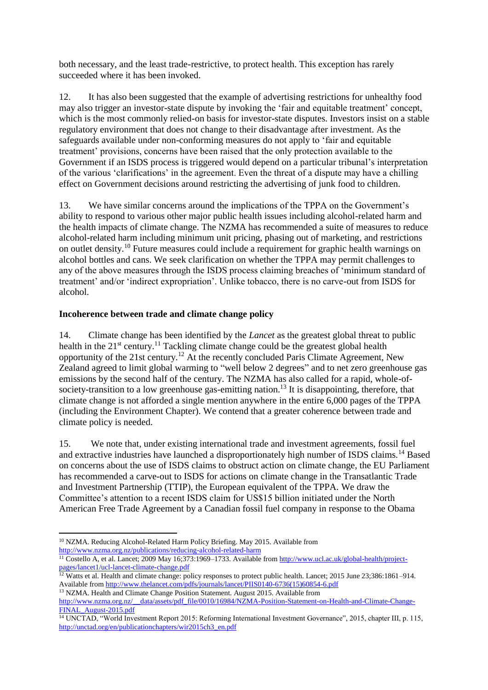both necessary, and the least trade-restrictive, to protect health. This exception has rarely succeeded where it has been invoked.

12. It has also been suggested that the example of advertising restrictions for unhealthy food may also trigger an investor-state dispute by invoking the 'fair and equitable treatment' concept, which is the most commonly relied-on basis for investor-state disputes. Investors insist on a stable regulatory environment that does not change to their disadvantage after investment. As the safeguards available under non-conforming measures do not apply to 'fair and equitable treatment' provisions, concerns have been raised that the only protection available to the Government if an ISDS process is triggered would depend on a particular tribunal's interpretation of the various 'clarifications' in the agreement. Even the threat of a dispute may have a chilling effect on Government decisions around restricting the advertising of junk food to children.

13. We have similar concerns around the implications of the TPPA on the Government's ability to respond to various other major public health issues including alcohol-related harm and the health impacts of climate change. The NZMA has recommended a suite of measures to reduce alcohol-related harm including minimum unit pricing, phasing out of marketing, and restrictions on outlet density.<sup>10</sup> Future measures could include a requirement for graphic health warnings on alcohol bottles and cans. We seek clarification on whether the TPPA may permit challenges to any of the above measures through the ISDS process claiming breaches of 'minimum standard of treatment' and/or 'indirect expropriation'. Unlike tobacco, there is no carve-out from ISDS for alcohol.

#### **Incoherence between trade and climate change policy**

14. Climate change has been identified by the *Lancet* as the greatest global threat to public health in the  $21<sup>st</sup>$  century.<sup>11</sup> Tackling climate change could be the greatest global health opportunity of the 21st century.<sup>12</sup> At the recently concluded Paris Climate Agreement, New Zealand agreed to limit global warming to "well below 2 degrees" and to net zero greenhouse gas emissions by the second half of the century. The NZMA has also called for a rapid, whole-ofsociety-transition to a low greenhouse gas-emitting nation.<sup>13</sup> It is disappointing, therefore, that climate change is not afforded a single mention anywhere in the entire 6,000 pages of the TPPA (including the Environment Chapter). We contend that a greater coherence between trade and climate policy is needed.

15. We note that, under existing international trade and investment agreements, fossil fuel and extractive industries have launched a disproportionately high number of ISDS claims.<sup>14</sup> Based on concerns about the use of ISDS claims to obstruct action on climate change, the EU Parliament has recommended a carve-out to ISDS for actions on climate change in the Transatlantic Trade and Investment Partnership (TTIP), the European equivalent of the TPPA. We draw the Committee's attention to a recent ISDS claim for US\$15 billion initiated under the North American Free Trade Agreement by a Canadian fossil fuel company in response to the Obama

 $\overline{a}$ <sup>10</sup> NZMA. Reducing Alcohol-Related Harm Policy Briefing. May 2015. Available from <http://www.nzma.org.nz/publications/reducing-alcohol-related-harm>

<sup>&</sup>lt;sup>11</sup> Costello A, et al. Lancet; 2009 May 16;373:1969–1733. Available from [http://www.ucl.ac.uk/global-health/project](http://www.ucl.ac.uk/global-health/project-pages/lancet1/ucl-lancet-climate-change.pdf)[pages/lancet1/ucl-lancet-climate-change.pdf](http://www.ucl.ac.uk/global-health/project-pages/lancet1/ucl-lancet-climate-change.pdf)

<sup>&</sup>lt;sup>12</sup> Watts et al. Health and climate change: policy responses to protect public health. Lancet; 2015 June 23;386:1861–914. Available from [http://www.thelancet.com/pdfs/journals/lancet/PIIS0140-6736\(15\)60854-6.pdf](http://www.thelancet.com/pdfs/journals/lancet/PIIS0140-6736(15)60854-6.pdf)

<sup>&</sup>lt;sup>13</sup> NZMA. Health and Climate Change Position Statement. August 2015. Available from [http://www.nzma.org.nz/\\_\\_data/assets/pdf\\_file/0010/16984/NZMA-Position-Statement-on-Health-and-Climate-Change-](http://www.nzma.org.nz/__data/assets/pdf_file/0010/16984/NZMA-Position-Statement-on-Health-and-Climate-Change-FINAL_August-2015.pdf)[FINAL\\_August-2015.pdf](http://www.nzma.org.nz/__data/assets/pdf_file/0010/16984/NZMA-Position-Statement-on-Health-and-Climate-Change-FINAL_August-2015.pdf)

<sup>&</sup>lt;sup>14</sup> UNCTAD, "World Investment Report 2015: Reforming International Investment Governance", 2015, chapter III, p. 115, [http://unctad.org/en/publicationchapters/wir2015ch3\\_en.pdf](http://unctad.org/en/publicationchapters/wir2015ch3_en.pdf)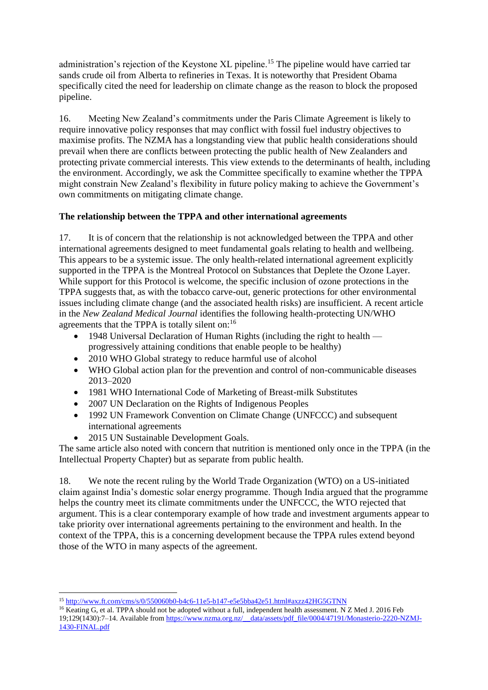administration's rejection of the Keystone XL pipeline.<sup>15</sup> The pipeline would have carried tar sands crude oil from Alberta to refineries in Texas. It is noteworthy that President Obama specifically cited the need for leadership on climate change as the reason to block the proposed pipeline.

16. Meeting New Zealand's commitments under the Paris Climate Agreement is likely to require innovative policy responses that may conflict with fossil fuel industry objectives to maximise profits. The NZMA has a longstanding view that public health considerations should prevail when there are conflicts between protecting the public health of New Zealanders and protecting private commercial interests. This view extends to the determinants of health, including the environment. Accordingly, we ask the Committee specifically to examine whether the TPPA might constrain New Zealand's flexibility in future policy making to achieve the Government's own commitments on mitigating climate change.

## **The relationship between the TPPA and other international agreements**

17. It is of concern that the relationship is not acknowledged between the TPPA and other international agreements designed to meet fundamental goals relating to health and wellbeing. This appears to be a systemic issue. The only health-related international agreement explicitly supported in the TPPA is the Montreal Protocol on Substances that Deplete the Ozone Layer. While support for this Protocol is welcome, the specific inclusion of ozone protections in the TPPA suggests that, as with the tobacco carve-out, generic protections for other environmental issues including climate change (and the associated health risks) are insufficient. A recent article in the *New Zealand Medical Journal* identifies the following health-protecting UN/WHO agreements that the TPPA is totally silent on:<sup>16</sup>

- 1948 Universal Declaration of Human Rights (including the right to health progressively attaining conditions that enable people to be healthy)
- 2010 WHO Global strategy to reduce harmful use of alcohol
- WHO Global action plan for the prevention and control of non-communicable diseases 2013–2020
- 1981 WHO International Code of Marketing of Breast-milk Substitutes
- 2007 UN Declaration on the Rights of Indigenous Peoples
- 1992 UN Framework Convention on Climate Change (UNFCCC) and subsequent international agreements
- 2015 UN Sustainable Development Goals.

The same article also noted with concern that nutrition is mentioned only once in the TPPA (in the Intellectual Property Chapter) but as separate from public health.

18. We note the recent ruling by the World Trade Organization (WTO) on a US-initiated claim against India's domestic solar energy programme. Though India argued that the programme helps the country meet its climate commitments under the UNFCCC, the WTO rejected that argument. This is a clear contemporary example of how trade and investment arguments appear to take priority over international agreements pertaining to the environment and health. In the context of the TPPA, this is a concerning development because the TPPA rules extend beyond those of the WTO in many aspects of the agreement.

**<sup>.</sup>** <sup>15</sup> <http://www.ft.com/cms/s/0/550060b0-b4c6-11e5-b147-e5e5bba42e51.html#axzz42HG5GTNN>

<sup>&</sup>lt;sup>16</sup> Keating G, et al. TPPA should not be adopted without a full, independent health assessment. N Z Med J. 2016 Feb 19;129(1430):7–14. Available from [https://www.nzma.org.nz/\\_\\_data/assets/pdf\\_file/0004/47191/Monasterio-2220-NZMJ-](https://www.nzma.org.nz/__data/assets/pdf_file/0004/47191/Monasterio-2220-NZMJ-1430-FINAL.pdf)[1430-FINAL.pdf](https://www.nzma.org.nz/__data/assets/pdf_file/0004/47191/Monasterio-2220-NZMJ-1430-FINAL.pdf)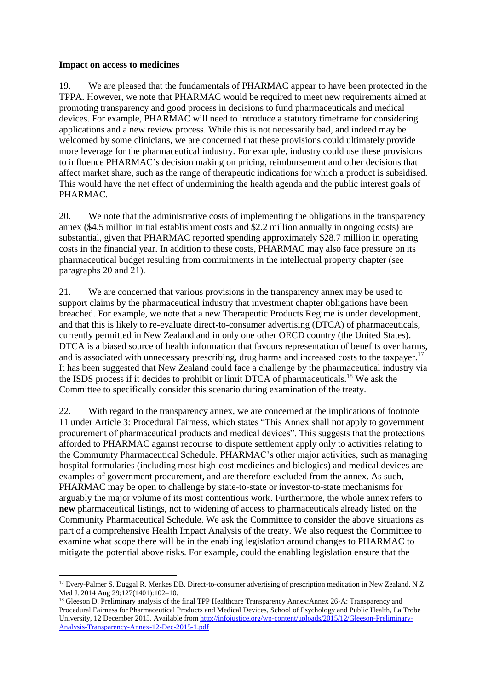#### **Impact on access to medicines**

19. We are pleased that the fundamentals of PHARMAC appear to have been protected in the TPPA. However, we note that PHARMAC would be required to meet new requirements aimed at promoting transparency and good process in decisions to fund pharmaceuticals and medical devices. For example, PHARMAC will need to introduce a statutory timeframe for considering applications and a new review process. While this is not necessarily bad, and indeed may be welcomed by some clinicians, we are concerned that these provisions could ultimately provide more leverage for the pharmaceutical industry. For example, industry could use these provisions to influence PHARMAC's decision making on pricing, reimbursement and other decisions that affect market share, such as the range of therapeutic indications for which a product is subsidised. This would have the net effect of undermining the health agenda and the public interest goals of PHARMAC.

20. We note that the administrative costs of implementing the obligations in the transparency annex (\$4.5 million initial establishment costs and \$2.2 million annually in ongoing costs) are substantial, given that PHARMAC reported spending approximately \$28.7 million in operating costs in the financial year. In addition to these costs, PHARMAC may also face pressure on its pharmaceutical budget resulting from commitments in the intellectual property chapter (see paragraphs 20 and 21).

21. We are concerned that various provisions in the transparency annex may be used to support claims by the pharmaceutical industry that investment chapter obligations have been breached. For example, we note that a new Therapeutic Products Regime is under development, and that this is likely to re-evaluate direct-to-consumer advertising (DTCA) of pharmaceuticals, currently permitted in New Zealand and in only one other OECD country (the United States). DTCA is a biased source of health information that favours representation of benefits over harms, and is associated with unnecessary prescribing, drug harms and increased costs to the taxpayer.<sup>17</sup> It has been suggested that New Zealand could face a challenge by the pharmaceutical industry via the ISDS process if it decides to prohibit or limit DTCA of pharmaceuticals.<sup>18</sup> We ask the Committee to specifically consider this scenario during examination of the treaty.

22. With regard to the transparency annex, we are concerned at the implications of footnote 11 under Article 3: Procedural Fairness, which states "This Annex shall not apply to government procurement of pharmaceutical products and medical devices". This suggests that the protections afforded to PHARMAC against recourse to dispute settlement apply only to activities relating to the Community Pharmaceutical Schedule. PHARMAC's other major activities, such as managing hospital formularies (including most high-cost medicines and biologics) and medical devices are examples of government procurement, and are therefore excluded from the annex. As such, PHARMAC may be open to challenge by state-to-state or investor-to-state mechanisms for arguably the major volume of its most contentious work. Furthermore, the whole annex refers to **new** pharmaceutical listings, not to widening of access to pharmaceuticals already listed on the Community Pharmaceutical Schedule. We ask the Committee to consider the above situations as part of a comprehensive Health Impact Analysis of the treaty. We also request the Committee to examine what scope there will be in the enabling legislation around changes to PHARMAC to mitigate the potential above risks. For example, could the enabling legislation ensure that the

 $\overline{a}$ <sup>17</sup> Every-Palmer S, Duggal R, Menkes DB. Direct-to-consumer advertising of prescription medication in New Zealand. N Z Med J. 2014 Aug 29;127(1401):102–10.

<sup>&</sup>lt;sup>18</sup> Gleeson D. Preliminary analysis of the final TPP Healthcare Transparency Annex:Annex 26-A: Transparency and Procedural Fairness for Pharmaceutical Products and Medical Devices, School of Psychology and Public Health, La Trobe University, 12 December 2015. Available fro[m http://infojustice.org/wp-content/uploads/2015/12/Gleeson-Preliminary-](http://infojustice.org/wp-content/uploads/2015/12/Gleeson-Preliminary-Analysis-Transparency-Annex-12-Dec-2015-1.pdf)[Analysis-Transparency-Annex-12-Dec-2015-1.pdf](http://infojustice.org/wp-content/uploads/2015/12/Gleeson-Preliminary-Analysis-Transparency-Annex-12-Dec-2015-1.pdf)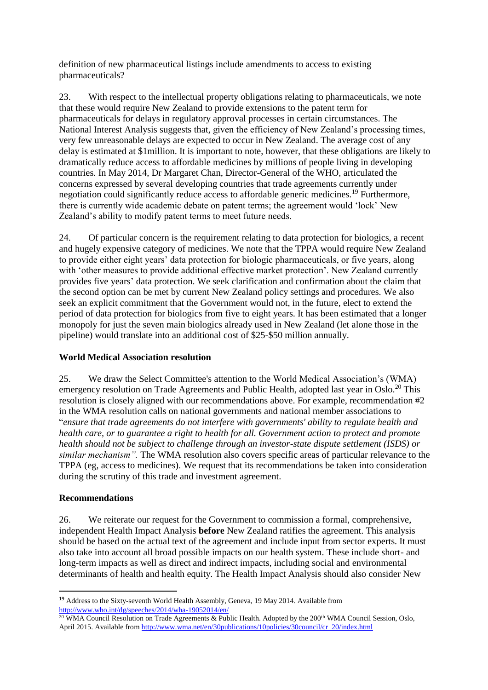definition of new pharmaceutical listings include amendments to access to existing pharmaceuticals?

23. With respect to the intellectual property obligations relating to pharmaceuticals, we note that these would require New Zealand to provide extensions to the patent term for pharmaceuticals for delays in regulatory approval processes in certain circumstances. The National Interest Analysis suggests that, given the efficiency of New Zealand's processing times, very few unreasonable delays are expected to occur in New Zealand. The average cost of any delay is estimated at \$1million. It is important to note, however, that these obligations are likely to dramatically reduce access to affordable medicines by millions of people living in developing countries. In May 2014, Dr Margaret Chan, Director-General of the WHO, articulated the concerns expressed by several developing countries that trade agreements currently under negotiation could significantly reduce access to affordable generic medicines.<sup>19</sup> Furthermore, there is currently wide academic debate on patent terms; the agreement would 'lock' New Zealand's ability to modify patent terms to meet future needs.

24. Of particular concern is the requirement relating to data protection for biologics, a recent and hugely expensive category of medicines. We note that the TPPA would require New Zealand to provide either eight years' data protection for biologic pharmaceuticals, or five years, along with 'other measures to provide additional effective market protection'. New Zealand currently provides five years' data protection. We seek clarification and confirmation about the claim that the second option can be met by current New Zealand policy settings and procedures. We also seek an explicit commitment that the Government would not, in the future, elect to extend the period of data protection for biologics from five to eight years. It has been estimated that a longer monopoly for just the seven main biologics already used in New Zealand (let alone those in the pipeline) would translate into an additional cost of \$25-\$50 million annually.

#### **World Medical Association resolution**

25. We draw the Select Committee's attention to the World Medical Association's (WMA) emergency resolution on Trade Agreements and Public Health, adopted last year in Oslo.<sup>20</sup> This resolution is closely aligned with our recommendations above. For example, recommendation #2 in the WMA resolution calls on national governments and national member associations to "*ensure that trade agreements do not interfere with governments' ability to regulate health and health care, or to guarantee a right to health for all. Government action to protect and promote health should not be subject to challenge through an investor-state dispute settlement (ISDS) or similar mechanism".* The WMA resolution also covers specific areas of particular relevance to the TPPA (eg, access to medicines). We request that its recommendations be taken into consideration during the scrutiny of this trade and investment agreement.

## **Recommendations**

**.** 

26. We reiterate our request for the Government to commission a formal, comprehensive, independent Health Impact Analysis **before** New Zealand ratifies the agreement. This analysis should be based on the actual text of the agreement and include input from sector experts. It must also take into account all broad possible impacts on our health system. These include short- and long-term impacts as well as direct and indirect impacts, including social and environmental determinants of health and health equity. The Health Impact Analysis should also consider New

<sup>19</sup> Address to the Sixty-seventh World Health Assembly, Geneva, 19 May 2014. Available from <http://www.who.int/dg/speeches/2014/wha-19052014/en/>

<sup>&</sup>lt;sup>20</sup> WMA Council Resolution on Trade Agreements & Public Health. Adopted by the 200<sup>th</sup> WMA Council Session, Oslo, April 2015. Available fro[m http://www.wma.net/en/30publications/10policies/30council/cr\\_20/index.html](http://www.wma.net/en/30publications/10policies/30council/cr_20/index.html)